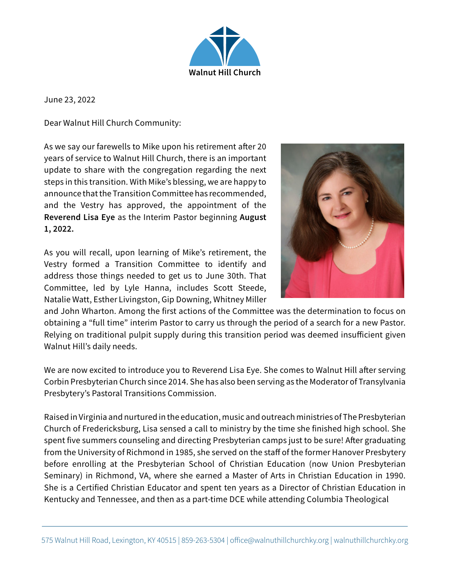

June 23, 2022

Dear Walnut Hill Church Community:

As we say our farewells to Mike upon his retirement after 20 years of service to Walnut Hill Church, there is an important update to share with the congregation regarding the next steps in this transition. With Mike's blessing, we are happy to announce that the Transition Committee has recommended, and the Vestry has approved, the appointment of the Reverend Lisa Eye as the Interim Pastor beginning August 1, 2022.

As you will recall, upon learning of Mike's retirement, the Vestry formed a Transition Committee to identify and address those things needed to get us to June 30th. That Committee, led by Lyle Hanna, includes Scott Steede, Natalie Watt, Esther Livingston, Gip Downing, Whitney Miller



and John Wharton. Among the first actions of the Committee was the determination to focus on obtaining a "full time" interim Pastor to carry us through the period of a search for a new Pastor. Relying on traditional pulpit supply during this transition period was deemed insufficient given Walnut Hill's daily needs.

We are now excited to introduce you to Reverend Lisa Eye. She comes to Walnut Hill after serving Corbin Presbyterian Church since 2014. She has also been serving as the Moderator of Transylvania Presbytery's Pastoral Transitions Commission.

Raised in Virginia and nurtured in the education, music and outreach ministries of The Presbyterian Church of Fredericksburg, Lisa sensed a call to ministry by the time she finished high school. She spent five summers counseling and directing Presbyterian camps just to be sure! After graduating from the University of Richmond in 1985, she served on the staff of the former Hanover Presbytery before enrolling at the Presbyterian School of Christian Education (now Union Presbyterian Seminary) in Richmond, VA, where she earned a Master of Arts in Christian Education in 1990. She is a Certified Christian Educator and spent ten years as a Director of Christian Education in Kentucky and Tennessee, and then as a part-time DCE while attending Columbia Theological